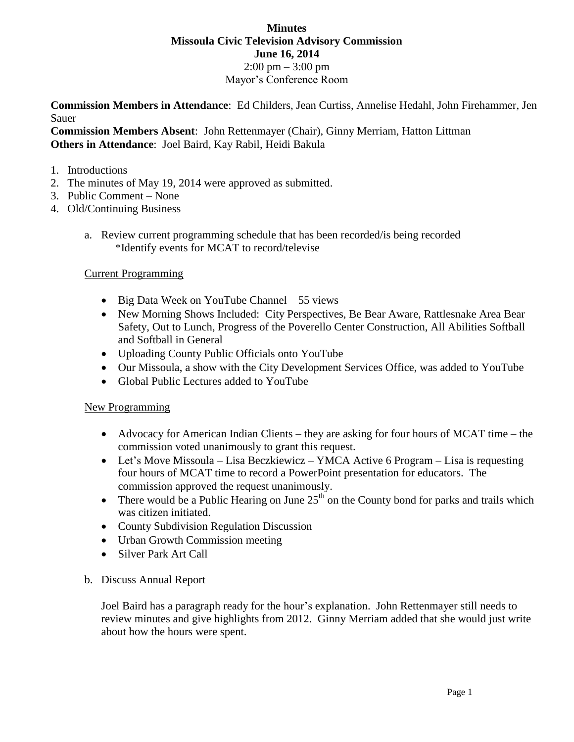# **Minutes Missoula Civic Television Advisory Commission June 16, 2014**  $2:00 \text{ pm} - 3:00 \text{ pm}$ Mayor's Conference Room

**Commission Members in Attendance**: Ed Childers, Jean Curtiss, Annelise Hedahl, John Firehammer, Jen Sauer

**Commission Members Absent**: John Rettenmayer (Chair), Ginny Merriam, Hatton Littman **Others in Attendance**: Joel Baird, Kay Rabil, Heidi Bakula

### 1. Introductions

- 2. The minutes of May 19, 2014 were approved as submitted.
- 3. Public Comment None
- 4. Old/Continuing Business
	- a. Review current programming schedule that has been recorded/is being recorded \*Identify events for MCAT to record/televise

## Current Programming

- Big Data Week on YouTube Channel 55 views
- New Morning Shows Included: City Perspectives, Be Bear Aware, Rattlesnake Area Bear Safety, Out to Lunch, Progress of the Poverello Center Construction, All Abilities Softball and Softball in General
- Uploading County Public Officials onto YouTube
- Our Missoula, a show with the City Development Services Office, was added to YouTube
- Global Public Lectures added to YouTube

## New Programming

- Advocacy for American Indian Clients they are asking for four hours of MCAT time the commission voted unanimously to grant this request.
- Let's Move Missoula Lisa Beczkiewicz YMCA Active 6 Program Lisa is requesting four hours of MCAT time to record a PowerPoint presentation for educators. The commission approved the request unanimously.
- There would be a Public Hearing on June  $25<sup>th</sup>$  on the County bond for parks and trails which was citizen initiated.
- County Subdivision Regulation Discussion
- Urban Growth Commission meeting
- Silver Park Art Call

## b. Discuss Annual Report

Joel Baird has a paragraph ready for the hour's explanation. John Rettenmayer still needs to review minutes and give highlights from 2012. Ginny Merriam added that she would just write about how the hours were spent.